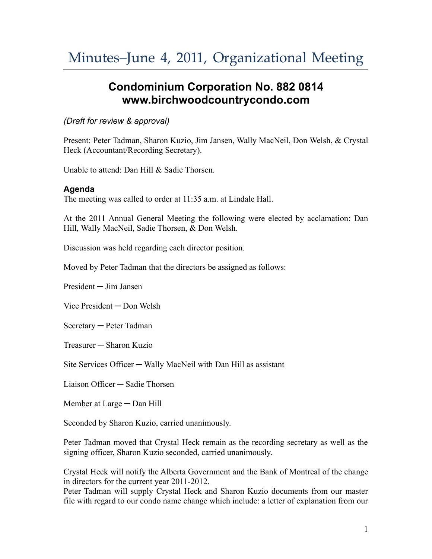## **Condominium Corporation No. 882 0814 www.birchwoodcountrycondo.com**

## *(Draft for review & approval)*

Present: Peter Tadman, Sharon Kuzio, Jim Jansen, Wally MacNeil, Don Welsh, & Crystal Heck (Accountant/Recording Secretary).

Unable to attend: Dan Hill & Sadie Thorsen.

## **Agenda**

The meeting was called to order at 11:35 a.m. at Lindale Hall.

At the 2011 Annual General Meeting the following were elected by acclamation: Dan Hill, Wally MacNeil, Sadie Thorsen, & Don Welsh.

Discussion was held regarding each director position.

Moved by Peter Tadman that the directors be assigned as follows:

President ─ Jim Jansen

Vice President ─ Don Welsh

Secretary ─ Peter Tadman

Treasurer ─ Sharon Kuzio

Site Services Officer — Wally MacNeil with Dan Hill as assistant

Liaison Officer ─ Sadie Thorsen

Member at Large — Dan Hill

Seconded by Sharon Kuzio, carried unanimously.

Peter Tadman moved that Crystal Heck remain as the recording secretary as well as the signing officer, Sharon Kuzio seconded, carried unanimously.

Crystal Heck will notify the Alberta Government and the Bank of Montreal of the change in directors for the current year 2011-2012.

Peter Tadman will supply Crystal Heck and Sharon Kuzio documents from our master file with regard to our condo name change which include: a letter of explanation from our